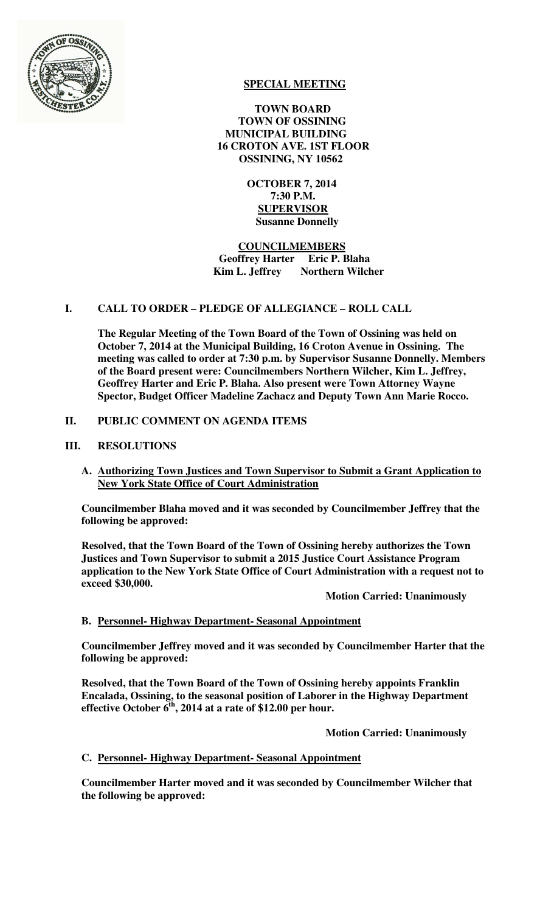

# **SPECIAL MEETING**

 **TOWN BOARD TOWN OF OSSINING MUNICIPAL BUILDING 16 CROTON AVE. 1ST FLOOR OSSINING, NY 10562** 

> **OCTOBER 7, 2014 7:30 P.M. SUPERVISOR Susanne Donnelly**

 **COUNCILMEMBERS Geoffrey Harter Eric P. Blaha Kim L. Jeffrey** Northern Wilcher

## **I. CALL TO ORDER – PLEDGE OF ALLEGIANCE – ROLL CALL**

**The Regular Meeting of the Town Board of the Town of Ossining was held on October 7, 2014 at the Municipal Building, 16 Croton Avenue in Ossining. The meeting was called to order at 7:30 p.m. by Supervisor Susanne Donnelly. Members of the Board present were: Councilmembers Northern Wilcher, Kim L. Jeffrey, Geoffrey Harter and Eric P. Blaha. Also present were Town Attorney Wayne Spector, Budget Officer Madeline Zachacz and Deputy Town Ann Marie Rocco.** 

## **II. PUBLIC COMMENT ON AGENDA ITEMS**

## **III. RESOLUTIONS**

**A. Authorizing Town Justices and Town Supervisor to Submit a Grant Application to New York State Office of Court Administration**

**Councilmember Blaha moved and it was seconded by Councilmember Jeffrey that the following be approved:** 

**Resolved, that the Town Board of the Town of Ossining hereby authorizes the Town Justices and Town Supervisor to submit a 2015 Justice Court Assistance Program application to the New York State Office of Court Administration with a request not to exceed \$30,000.** 

 **Motion Carried: Unanimously** 

### **B. Personnel- Highway Department- Seasonal Appointment**

**Councilmember Jeffrey moved and it was seconded by Councilmember Harter that the following be approved:** 

**Resolved, that the Town Board of the Town of Ossining hereby appoints Franklin Encalada, Ossining, to the seasonal position of Laborer in the Highway Department effective October 6th, 2014 at a rate of \$12.00 per hour.** 

 **Motion Carried: Unanimously** 

### **C. Personnel- Highway Department- Seasonal Appointment**

**Councilmember Harter moved and it was seconded by Councilmember Wilcher that the following be approved:**